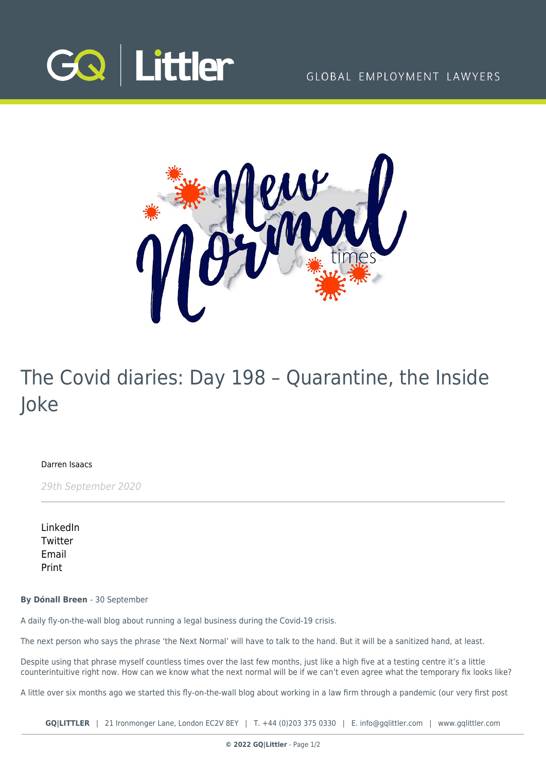



## The Covid diaries: Day 198 – Quarantine, the Inside Joke

[Darren Isaacs](https://www.gqlittler.com/about-us/the-team/darren-isaacs)

29th September 2020

[LinkedIn](https://www.linkedin.com/shareArticle?mini=true&url=https%3A%2F%2Fwww.gqlittler.com%2Fresources%2Fnews-and-views%2Fthe-covid-diaries-day-198-quarantine-the-inside-joke.htm%3Funlock%3Dtrue&title=The+Covid+diaries%3A+Day+198+%E2%80%93+Quarantine%2C+the+Inside+Joke&summary=The+next+person+who+says+the+phrase+%E2%80%98the+Next+Normal%E2%80%99+will+have+to+talk+to+the+hand.+But+it+will+be+a+sanitized+hand%2C+at+least.&source=GQ+%7C+Littler) **[Twitter](https://twitter.com/share?text=The+Covid+diaries%3A+Day+198+%E2%80%93+Quarantine%2C+the+Inside+Joke&url=https%3A%2F%2Fwww.gqlittler.com%2Fresources%2Fnews-and-views%2Fthe-covid-diaries-day-198-quarantine-the-inside-joke.htm&hashtags=)** [Email](mailto:?subject=The Covid diaries: Day 198 – Quarantine, the Inside Joke&body=I) [Print](https://www.bg-pdf.co.uk/_GQ/page.php?M=6148523063484d364c793933643363755a33467361585230624756794c6d4e76625339795a584e7664584a6a5a584d76626d563363793168626d5174646d6c6c64334d766447686c4c574e76646d6c6b4c57527059584a705a584d745a4746354c5445354f43317864574679595735306157356c4c58526f5a533170626e4e705a475574616d39725a53356f6447306a51434e556147556751323932615751675a476c68636d6c6c637a6f6752474635494445354f434469674a4d6755585668636d467564476c755a5377676447686c49456c7563326c6b5a53424b6232746c4930416a6447686c4c574e76646d6c6b4c57527059584a705a584d745a4746354c5445354f43317864574679595735306157356c4c58526f5a533170626e4e705a475574616d39725a513d3d)

**By Dónall Breen** - 30 September

A daily fly-on-the-wall blog about running a legal business during the Covid-19 crisis.

The next person who says the phrase 'the Next Normal' will have to talk to the hand. But it will be a sanitized hand, at least.

Despite using that phrase myself countless times over the last few months, just like a high five at a testing centre it's a little counterintuitive right now. How can we know what the next normal will be if we can't even agree what the temporary fix looks like?

A little over six months ago we started this fly-on-the-wall blog about working in a law firm through a pandemic (our very first post

**GQ|LITTLER** | 21 Ironmonger Lane, London EC2V 8EY | T. [+44 \(0\)203 375 0330](https://www.bg-pdf.co.uk/_GQ/tel:+442033750330) | E. [info@gqlittler.com](mailto:info@gqlittler.com) | [www.gqlittler.com](https://www.gqlittler.com)